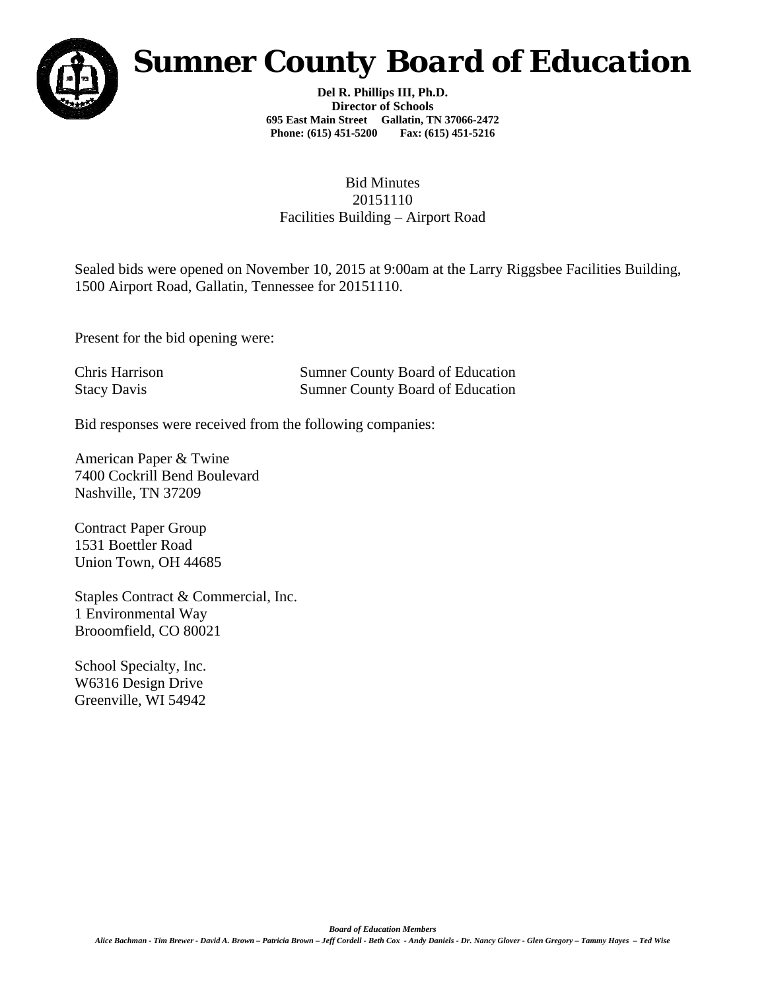

## *Sumner County Board of Education*

**Del R. Phillips III, Ph.D. Director of Schools 695 East Main Street Gallatin, TN 37066-2472 Phone: (615) 451-5200 Fax: (615) 451-5216** 

## Bid Minutes 20151110 Facilities Building – Airport Road

Sealed bids were opened on November 10, 2015 at 9:00am at the Larry Riggsbee Facilities Building, 1500 Airport Road, Gallatin, Tennessee for 20151110.

Present for the bid opening were:

Chris Harrison Sumner County Board of Education Stacy Davis Sumner County Board of Education

Bid responses were received from the following companies:

American Paper & Twine 7400 Cockrill Bend Boulevard Nashville, TN 37209

Contract Paper Group 1531 Boettler Road Union Town, OH 44685

Staples Contract & Commercial, Inc. 1 Environmental Way Brooomfield, CO 80021

School Specialty, Inc. W6316 Design Drive Greenville, WI 54942